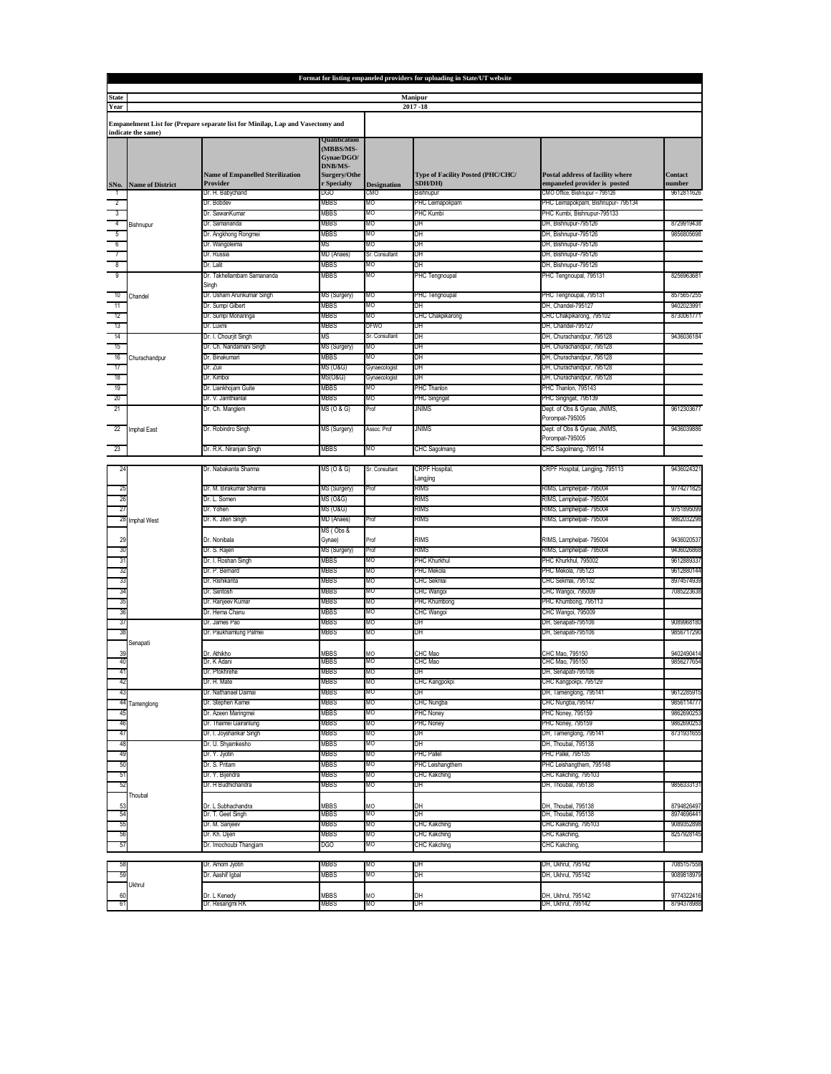|                                                                                                      | Format for listing empaneled providers for uploading in State/UT website |                                                     |                                                                                                  |                      |                                                     |                                                                  |                          |  |  |
|------------------------------------------------------------------------------------------------------|--------------------------------------------------------------------------|-----------------------------------------------------|--------------------------------------------------------------------------------------------------|----------------------|-----------------------------------------------------|------------------------------------------------------------------|--------------------------|--|--|
| Manipur<br><b>State</b>                                                                              |                                                                          |                                                     |                                                                                                  |                      |                                                     |                                                                  |                          |  |  |
| Year                                                                                                 |                                                                          |                                                     |                                                                                                  |                      | 2017-18                                             |                                                                  |                          |  |  |
| Empanelment List for (Prepare separate list for Minilap, Lap and Vasectomy and<br>indicate the same) |                                                                          |                                                     |                                                                                                  |                      |                                                     |                                                                  |                          |  |  |
| SNo.                                                                                                 | <b>Name of District</b>                                                  | <b>Name of Empanelled Sterilization</b><br>Provider | <b>Jualification</b><br>(MBBS/MS-<br>Gynae/DGO/<br><b>DNB/MS-</b><br>Surgery/Othe<br>r Specialty | <b>Designation</b>   | Type of Facility Posted (PHC/CHC/<br><b>SDH/DH)</b> | Postal address of facility where<br>empaneled provider is posted | Contact<br>number        |  |  |
|                                                                                                      |                                                                          | Dr. H. Babychand                                    | DGO                                                                                              | CMO                  | Bishnupur                                           | CMO Office, Bishnupur - 795126                                   | 9612811626               |  |  |
| $\overline{2}$                                                                                       |                                                                          | Dr. Bobdev                                          | MBBS                                                                                             | MО                   | PHC Leimapokpam                                     | PHC Leimapokpam, Bishnupur- 795134                               |                          |  |  |
| $^{-3}$                                                                                              | Bishnupur                                                                | Dr. SawanKumar                                      | MBBS                                                                                             | MО                   | PHC Kumbi                                           | PHC Kumbi, Bishnupur-795133                                      |                          |  |  |
| $\frac{1}{4}$                                                                                        |                                                                          | Dr. Samananda                                       | WBBS<br>MBBS                                                                                     | MО<br>MО             | DH                                                  | DH, Bishnupur-795126<br>DH, Bishnupur-795126                     | 8729919438<br>9856805698 |  |  |
| $-5$<br>- 6                                                                                          |                                                                          | Dr. Angkhong Rongmei<br>Dr. Wangoleima              | МS                                                                                               | MО                   | DH<br>DH                                            | DH, Bishnupur-795126                                             |                          |  |  |
|                                                                                                      |                                                                          | Dr. Russia                                          | MD (Anaes)                                                                                       | Sr. Consultant       | DH                                                  | DH, Bishnupur-795126                                             |                          |  |  |
| $^8$                                                                                                 |                                                                          | Dr. Lalit                                           | MBBS                                                                                             | MО                   | DH                                                  | DH, Bishnupur-795126                                             |                          |  |  |
| 9                                                                                                    | Chandel                                                                  | Dr. Takhellambam Samananda<br>Singh                 | MBBS                                                                                             | MО                   | PHC Tengnoupal                                      | PHC Tengnoupal, 795131                                           | 8256963681               |  |  |
| 10                                                                                                   |                                                                          | Dr. Usham Arunkumar Singh                           | MS (Surgery)                                                                                     | MО                   | PHC Tengnoupal                                      | PHC Tengnoupal, 795131                                           | 8575657255               |  |  |
| 11                                                                                                   |                                                                          | Dr. Sumpi Gilbert                                   | MBBS                                                                                             | MО                   | DH                                                  | DH, Chandel-795127                                               | 9402023991               |  |  |
| - 12                                                                                                 |                                                                          | Dr. Sumpi Monaringa                                 | MBBS                                                                                             | MО                   | CHC Chakpikarong                                    | CHC Chakpikarong, 795102                                         | 8730061771               |  |  |
| -13<br>14                                                                                            |                                                                          | Dr. Luxmi                                           | MBBS<br>МS                                                                                       | DFWO                 | DН                                                  | DH, Chandel-795127                                               | 9436036184               |  |  |
| 15                                                                                                   |                                                                          | Dr. I. Chourjit Singh<br>Dr. Ch. Nandamani Singh    | MS (Surgery)                                                                                     | Sr. Consultant<br>MО | DH<br>DH                                            | DH, Churachandpur, 795128<br>DH, Churachandpur, 795128           |                          |  |  |
| 16                                                                                                   | Churachandpur                                                            | Dr. Binakumari                                      | MBBS                                                                                             | MО                   | DH                                                  | DH, Churachandpur, 795128                                        |                          |  |  |
| $-17$                                                                                                |                                                                          | Dr. Zuii                                            | MS (O&G)                                                                                         | Gynaecologist        | DН                                                  | DH, Churachandpur, 795128                                        |                          |  |  |
| -18                                                                                                  |                                                                          | Dr. Kimboi                                          | MS(O&G)                                                                                          | Gynaecologist        | DH                                                  | DH, Churachandpur, 795128                                        |                          |  |  |
| - 19                                                                                                 |                                                                          | Dr. Liankhojam Guite                                | MBBS                                                                                             | MО                   | PHC Thanlon                                         | PHC Thanlon, 795143                                              |                          |  |  |
| 20                                                                                                   |                                                                          | Dr. V. Jamthianlal                                  | WBBS                                                                                             | MО                   | PHC Singngat                                        | PHC Singngat, 795139                                             |                          |  |  |
| 21                                                                                                   |                                                                          | Dr. Ch. Manglem                                     | MS (O & G)                                                                                       | Prof                 | JNIMS                                               | Dept. of Obs & Gynae, JNIMS,<br>Porompat-795005                  | 9612303677               |  |  |
| 22                                                                                                   | Imphal East                                                              | Dr. Robindro Singh                                  | MS (Surgery)                                                                                     | Assoc, Prof          | <b>JNIMS</b>                                        | Dept. of Obs & Gynae, JNIMS,<br>Porompat-795005                  | 9436039886               |  |  |
| -23                                                                                                  |                                                                          | Dr. R.K. Niranjan Singh                             | MBBS                                                                                             | MО                   | CHC Sagolmang                                       | CHC Sagolmang, 795114                                            |                          |  |  |
|                                                                                                      |                                                                          | Dr. Nabakanta Sharma                                | MS (O & G)                                                                                       | Sr. Consultant       | CRPF Hospital,                                      | CRPF Hospital, Langjing, 795113                                  | 9436024321               |  |  |
|                                                                                                      |                                                                          |                                                     |                                                                                                  | Prof                 | Langjing                                            |                                                                  |                          |  |  |
| 2                                                                                                    |                                                                          | Dr. M. Birakumar Sharma<br>Dr. L. Somen             | MS (Surgery)<br>MS (O&G)                                                                         |                      | rims<br>rims                                        | RIMS, Lamphelpat- 795004<br>RIMS, Lamphelpat- 795004             | 9774271825               |  |  |
| 2                                                                                                    |                                                                          | Dr. Yohen                                           | MS (O&G)                                                                                         |                      | rims                                                | RIMS, Lamphelpat- 795004                                         | 9751895099               |  |  |
| 28                                                                                                   | <b>Imphal West</b>                                                       | Dr. K. Jiten Singh                                  | MD (Anaes)                                                                                       | Prof                 | RIMS                                                | RIMS, Lamphelpat- 795004                                         | 9862032298               |  |  |
| 29                                                                                                   |                                                                          | Dr. Nonibala                                        | MS (Obs &<br>Gynae)                                                                              | Prof                 | <b>RIMS</b>                                         | RIMS, Lamphelpat- 795004                                         | 9436020537               |  |  |
| 30                                                                                                   |                                                                          | Dr. S. Rajen                                        | MS (Surgery)                                                                                     | Prof                 | rims                                                | RIMS, Lamphelpat- 795004                                         | 9436026868               |  |  |
|                                                                                                      |                                                                          | Dr. I. Roshan Singh                                 | MBBS                                                                                             | MО                   | PHC Khurkhul                                        | PHC Khurkhul, 795002                                             | 9612889337               |  |  |
|                                                                                                      |                                                                          | Dr. P. Bernard                                      | MBBS                                                                                             | MO                   | PHC Mekola                                          | PHC Mekola, 795123                                               | 9612880144               |  |  |
|                                                                                                      |                                                                          | Dr. Rishikanta<br>Dr. Santosh                       | MBBS<br>MBBS                                                                                     | MO<br>MO             | CHC Sekmai                                          | CHC Sekmai, 795132                                               | 8974574939<br>7085223638 |  |  |
|                                                                                                      |                                                                          | Dr. Ranjeev Kumar                                   | MBBS                                                                                             | ИO                   | CHC Wangoi<br><b>PHC Khumbong</b>                   | CHC Wangoi, 795009<br><sup>2</sup> HC Khumbong, 795113           |                          |  |  |
|                                                                                                      |                                                                          | Dr. Hema Chanu                                      | MBBS                                                                                             | MО                   | CHC Wangoi                                          | CHC Wangoi, 795009                                               |                          |  |  |
| 37                                                                                                   |                                                                          | Dr. James Pao                                       | MBBS                                                                                             | MО                   | DH                                                  | DH, Senapati-795106                                              | 9089968180               |  |  |
| 38                                                                                                   | Senapati                                                                 | Dr. Paukhamlung Palmei                              | MBBS                                                                                             | MО                   | DH                                                  | DH, Senapati-795106                                              | 9856717290               |  |  |
| 39                                                                                                   |                                                                          | Dr. Athikho                                         | MBBS                                                                                             | MO                   | CHC Mao                                             | CHC Mao, 795150                                                  | 9402490414               |  |  |
|                                                                                                      |                                                                          | Dr. K Adani                                         | MBBS                                                                                             | MО                   | CHC Mao                                             | CHC Mao, 795150                                                  | 9856277654               |  |  |
|                                                                                                      |                                                                          | Dr. Pfokhrehe                                       | MBBS                                                                                             | MО                   | DH                                                  | DH, Senapati-795106                                              |                          |  |  |
| 43                                                                                                   |                                                                          | л. п. wate<br>Dr. Nathanael Daimai                  | טסטו<br>MBBS                                                                                     | MO                   | J⊓∪ Nd⊓yµ∪Nµi<br>DH                                 | οπο Nangpokpi, <i>το</i> στεο<br>DH, Tamenglong, 795141          | 9612285915               |  |  |
| 44                                                                                                   | Tamenglong                                                               | Dr. Stephen Kamei                                   | MBBS                                                                                             | MO                   | CHC Nungba                                          | CHC Nungba, 795147                                               | 9856114777               |  |  |
| 45                                                                                                   |                                                                          | Dr. Azeen Maringmei                                 | MBBS                                                                                             | MO                   | PHC Noney                                           | PHC Noney, 795159                                                | 9862690253               |  |  |
| 46                                                                                                   |                                                                          | Dr. Thaimei Gairanlung                              | MBBS                                                                                             | MO                   | PHC Noney                                           | PHC Noney, 795159                                                | 9862690253               |  |  |
| 47                                                                                                   |                                                                          | Dr. I. Joyshankar Singh                             | MBBS                                                                                             | MО                   | DH                                                  | DH, Tamenglong, 795141                                           | 8731931655               |  |  |
| 48                                                                                                   |                                                                          | Dr. U. Shyamkesho                                   | MBBS                                                                                             | MO                   | DH                                                  | DH, Thoubal, 795138                                              |                          |  |  |
| 49                                                                                                   |                                                                          | Dr. Y. Jyotin<br>Dr. S. Pritam                      | MBBS<br>MBBS                                                                                     | MО                   | PHC Pallel                                          | PHC Pallel, 795135                                               |                          |  |  |
| 50<br>-51                                                                                            |                                                                          | Dr. Y. Bijendra                                     | MBBS                                                                                             | MО<br>MО             | PHC Leishangthem<br>CHC Kakching                    | PHC Leishangthem, 795148<br>CHC Kakching, 795103                 |                          |  |  |
| 52                                                                                                   |                                                                          | Dr. H Budhichandra                                  | MBBS                                                                                             | MО                   | DH                                                  | DH, Thoubal, 795138                                              | 9856333131               |  |  |
| 53                                                                                                   | Thoubal                                                                  | Dr. L Subhachandra                                  | MBBS                                                                                             | MО                   | DH                                                  | DH, Thoubal, 795138                                              | 8794826497               |  |  |
| 54                                                                                                   |                                                                          | Dr. T. Geet Singh                                   | MBBS                                                                                             | MO                   | DH                                                  | DH, Thoubal, 795138                                              | 8974696441               |  |  |
| 55                                                                                                   |                                                                          | Dr. M. Sanjeev                                      | MBBS                                                                                             | MО                   | CHC Kakching                                        | CHC Kakching, 795103                                             | 9089352898               |  |  |
| 56                                                                                                   |                                                                          | Dr. Kh. Dijen                                       | MBBS                                                                                             | MО                   | CHC Kakching                                        | CHC Kakching,                                                    | 8257928145               |  |  |
| 57                                                                                                   |                                                                          | Dr. Imochoubi Thangjam                              | DGO                                                                                              | MO                   | CHC Kakching                                        | CHC Kakching,                                                    |                          |  |  |
| 58                                                                                                   |                                                                          | Dr. Amom Jyotin                                     | MBBS                                                                                             | MО                   | DH                                                  | DH, Ukhrul, 795142                                               | 7085157558               |  |  |
| 59                                                                                                   |                                                                          | Dr. Aashif Igbal                                    | MBBS                                                                                             | MО                   | DH                                                  | DH, Ukhrul, 795142                                               | 9089818979               |  |  |
|                                                                                                      | Ukhrul                                                                   |                                                     |                                                                                                  |                      |                                                     |                                                                  |                          |  |  |
| 60                                                                                                   |                                                                          | Dr. L Kenedy                                        | MBBS                                                                                             | MО                   | DH                                                  | DH, Ukhrul, 795142                                               | 9774322416               |  |  |
| 61                                                                                                   |                                                                          | Dr. Resangmi RK                                     | WBBS                                                                                             | MO                   | DH                                                  | DH, Ukhrul, 795142                                               | 8794378988               |  |  |